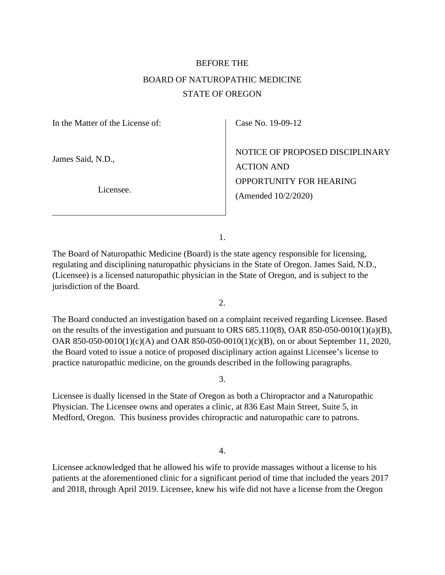## BEFORE THE BOARD OF NATUROPATHIC MEDICINE STATE OF OREGON

In the Matter of the License of:

James Said, N.D.,

Licensee.

Case No. 19-09-12

NOTICE OF PROPOSED DISCIPLINARY ACTION AND OPPORTUNITY FOR HEARING (Amended 10/2/2020)

1.

The Board of Naturopathic Medicine (Board) is the state agency responsible for licensing, regulating and disciplining naturopathic physicians in the State of Oregon. James Said, N.D., (Licensee) is a licensed naturopathic physician in the State of Oregon, and is subject to the jurisdiction of the Board.

2.

The Board conducted an investigation based on a complaint received regarding Licensee. Based on the results of the investigation and pursuant to ORS 685.110(8), OAR 850-050-0010(1)(a)(B), OAR 850-050-0010(1)(c)(A) and OAR 850-050-0010(1)(c)(B), on or about September 11, 2020, the Board voted to issue a notice of proposed disciplinary action against Licensee's license to practice naturopathic medicine, on the grounds described in the following paragraphs.

3.

Licensee is dually licensed in the State of Oregon as both a Chiropractor and a Naturopathic Physician. The Licensee owns and operates a clinic, at 836 East Main Street, Suite 5, in Medford, Oregon. This business provides chiropractic and naturopathic care to patrons.

4.

Licensee acknowledged that he allowed his wife to provide massages without a license to his patients at the aforementioned clinic for a significant period of time that included the years 2017 and 2018, through April 2019. Licensee, knew his wife did not have a license from the Oregon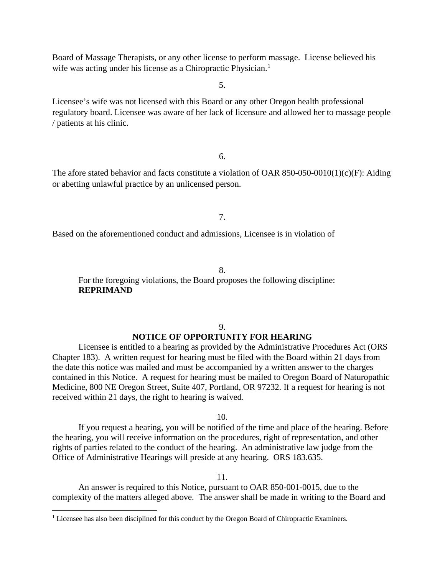Board of Massage Therapists, or any other license to perform massage. License believed his wife was acting under his license as a Chiropractic Physician.<sup>[1](#page-1-0)</sup>

5.

Licensee's wife was not licensed with this Board or any other Oregon health professional regulatory board. Licensee was aware of her lack of licensure and allowed her to massage people / patients at his clinic.

6.

The afore stated behavior and facts constitute a violation of OAR 850-050-0010(1)(c)(F): Aiding or abetting unlawful practice by an unlicensed person.

7.

Based on the aforementioned conduct and admissions, Licensee is in violation of

8.

For the foregoing violations, the Board proposes the following discipline: **REPRIMAND** 

## 9. **NOTICE OF OPPORTUNITY FOR HEARING**

Licensee is entitled to a hearing as provided by the Administrative Procedures Act (ORS Chapter 183). A written request for hearing must be filed with the Board within 21 days from the date this notice was mailed and must be accompanied by a written answer to the charges contained in this Notice. A request for hearing must be mailed to Oregon Board of Naturopathic Medicine, 800 NE Oregon Street, Suite 407, Portland, OR 97232. If a request for hearing is not received within 21 days, the right to hearing is waived.

10.

If you request a hearing, you will be notified of the time and place of the hearing. Before the hearing, you will receive information on the procedures, right of representation, and other rights of parties related to the conduct of the hearing. An administrative law judge from the Office of Administrative Hearings will preside at any hearing. ORS 183.635.

11.

An answer is required to this Notice, pursuant to OAR 850-001-0015, due to the complexity of the matters alleged above. The answer shall be made in writing to the Board and

<span id="page-1-0"></span><sup>&</sup>lt;sup>1</sup> Licensee has also been disciplined for this conduct by the Oregon Board of Chiropractic Examiners.